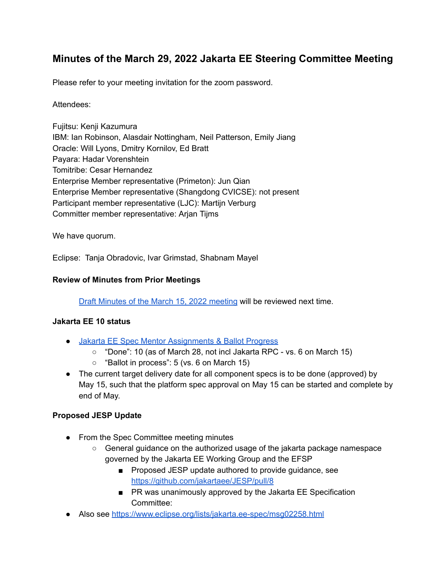# **Minutes of the March 29, 2022 Jakarta EE Steering Committee Meeting**

Please refer to your meeting invitation for the zoom password.

#### Attendees:

Fujitsu: Kenji Kazumura IBM: Ian Robinson, Alasdair Nottingham, Neil Patterson, Emily Jiang Oracle: Will Lyons, Dmitry Kornilov, Ed Bratt Payara: Hadar Vorenshtein Tomitribe: Cesar Hernandez Enterprise Member representative (Primeton): Jun Qian Enterprise Member representative (Shangdong CVICSE): not present Participant member representative (LJC): Martijn Verburg Committer member representative: Arjan Tijms

We have quorum.

Eclipse: Tanja Obradovic, Ivar Grimstad, Shabnam Mayel

#### **Review of Minutes from Prior Meetings**

Draft Minutes of the March 15, 2022 [meeting](https://docs.google.com/document/d/1JzLYfy3fyg3n3ZbhRkvq5jP9PSJS4kPonsQIjtCgtr4/edit) will be reviewed next time.

#### **Jakarta EE 10 status**

- Jakarta EE Spec Mentor [Assignments](https://docs.google.com/spreadsheets/d/1YTUpfdLZZrk2_UGwoX2w0seOCueRO3sQJIjWxpDAa7g/edit#gid=35969432) & Ballot Progress
	- "Done": 10 (as of March 28, not incl Jakarta RPC vs. 6 on March 15)
	- $\circ$  "Ballot in process": 5 (vs. 6 on March 15)
- The current target delivery date for all component specs is to be done (approved) by May 15, such that the platform spec approval on May 15 can be started and complete by end of May.

# **Proposed JESP Update**

- From the Spec Committee meeting minutes
	- General guidance on the authorized usage of the jakarta package namespace governed by the Jakarta EE Working Group and the EFSP
		- Proposed JESP update authored to provide guidance, see <https://github.com/jakartaee/JESP/pull/8>
		- PR was unanimously approved by the Jakarta EE Specification Committee:
- Also see <https://www.eclipse.org/lists/jakarta.ee-spec/msg02258.html>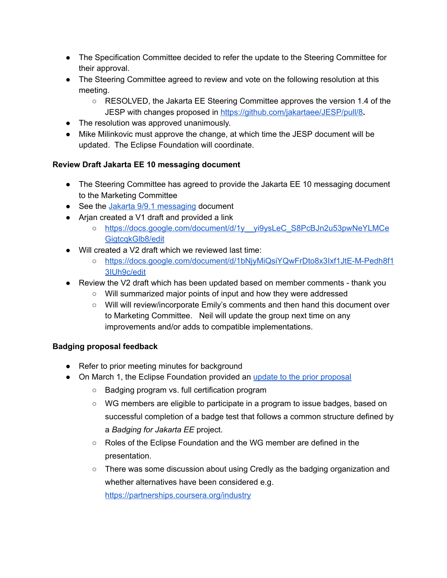- The Specification Committee decided to refer the update to the Steering Committee for their approval.
- The Steering Committee agreed to review and vote on the following resolution at this meeting.
	- RESOLVED, the Jakarta EE Steering Committee approves the version 1.4 of the JESP with changes proposed in <https://github.com/jakartaee/JESP/pull/8>**.**
- The resolution was approved unanimously.
- Mike Milinkovic must approve the change, at which time the JESP document will be updated. The Eclipse Foundation will coordinate.

# **Review Draft Jakarta EE 10 messaging document**

- The Steering Committee has agreed to provide the Jakarta EE 10 messaging document to the Marketing Committee
- See the Jakarta 9/9.1 [messaging](https://urldefense.com/v3/__https://docs.google.com/document/d/18hJZsOaiKh6FMqeOoL5WoV6b10T-7UqpE0OXE31eVpE/edit__;!!ACWV5N9M2RV99hQ!ePxBTxM-a7gQZjXX2xqKYs45HPMmEe_CiUorLofRqyRfAnIzj1eIUQGTmS9iLWBX$) document
- Arjan created a V1 draft and provided a link
	- o https://docs.google.com/document/d/1y yi9ysLeC\_S8PcBJn2u53pwNeYLMCe GigtcakGlb8/edit
- Will created a V2 draft which we reviewed last time:
	- [https://docs.google.com/document/d/1bNjyMiQsiYQwFrDto8x3Ixf1JtE-M-Pedh8f1](https://docs.google.com/document/d/1bNjyMiQsiYQwFrDto8x3Ixf1JtE-M-Pedh8f13IUh9c/edit) [3IUh9c/edit](https://docs.google.com/document/d/1bNjyMiQsiYQwFrDto8x3Ixf1JtE-M-Pedh8f13IUh9c/edit)
- Review the V2 draft which has been updated based on member comments thank you
	- Will summarized major points of input and how they were addressed
	- Will will review/incorporate Emily's comments and then hand this document over to Marketing Committee. Neil will update the group next time on any improvements and/or adds to compatible implementations.

# **Badging proposal feedback**

- Refer to prior meeting minutes for background
- On March 1, the Eclipse Foundation provided an update to the prior [proposal](https://drive.google.com/drive/u/1/folders/1lJ-ipUKiSd8cgwu54KlTQm0YAgL7EJ8Z)
	- Badging program vs. full certification program
	- WG members are eligible to participate in a program to issue badges, based on successful completion of a badge test that follows a common structure defined by a *Badging for Jakarta EE* project.
	- Roles of the Eclipse Foundation and the WG member are defined in the presentation.
	- There was some discussion about using Credly as the badging organization and whether alternatives have been considered e.g. <https://partnerships.coursera.org/industry>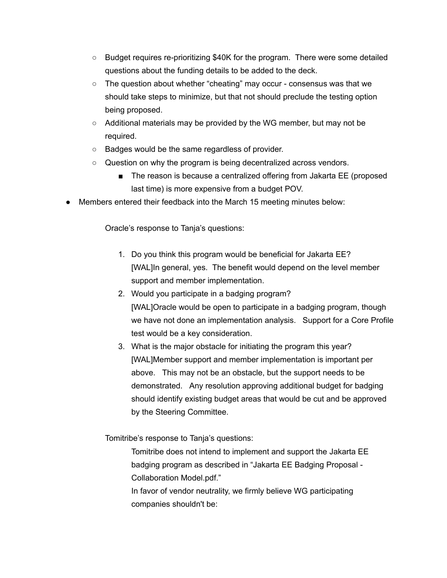- Budget requires re-prioritizing \$40K for the program. There were some detailed questions about the funding details to be added to the deck.
- The question about whether "cheating" may occur consensus was that we should take steps to minimize, but that not should preclude the testing option being proposed.
- $\circ$  Additional materials may be provided by the WG member, but may not be required.
- Badges would be the same regardless of provider.
- $\circ$  Question on why the program is being decentralized across vendors.
	- The reason is because a centralized offering from Jakarta EE (proposed last time) is more expensive from a budget POV.
- Members entered their feedback into the March 15 meeting minutes below:

Oracle's response to Tanja's questions:

- 1. Do you think this program would be beneficial for Jakarta EE? [WAL]In general, yes. The benefit would depend on the level member support and member implementation.
- 2. Would you participate in a badging program? [WAL]Oracle would be open to participate in a badging program, though we have not done an implementation analysis. Support for a Core Profile test would be a key consideration.
- 3. What is the major obstacle for initiating the program this year? [WAL]Member support and member implementation is important per above. This may not be an obstacle, but the support needs to be demonstrated. Any resolution approving additional budget for badging should identify existing budget areas that would be cut and be approved by the Steering Committee.

Tomitribe's response to Tanja's questions:

Tomitribe does not intend to implement and support the Jakarta EE badging program as described in "Jakarta EE Badging Proposal - Collaboration Model.pdf."

In favor of vendor neutrality, we firmly believe WG participating companies shouldn't be: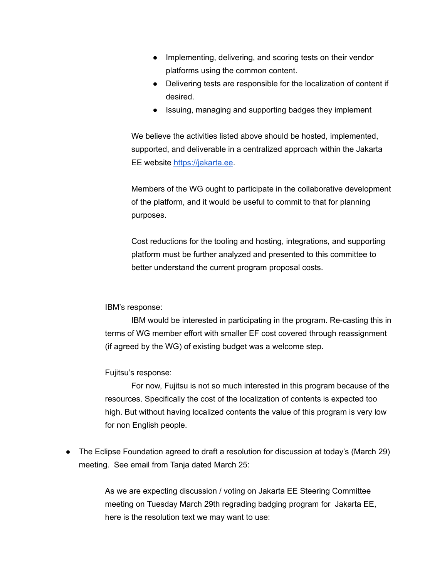- Implementing, delivering, and scoring tests on their vendor platforms using the common content.
- Delivering tests are responsible for the localization of content if desired.
- Issuing, managing and supporting badges they implement

We believe the activities listed above should be hosted, implemented, supported, and deliverable in a centralized approach within the Jakarta EE website [https://jakarta.ee.](https://jakarta.ee/)

Members of the WG ought to participate in the collaborative development of the platform, and it would be useful to commit to that for planning purposes.

Cost reductions for the tooling and hosting, integrations, and supporting platform must be further analyzed and presented to this committee to better understand the current program proposal costs.

IBM's response:

IBM would be interested in participating in the program. Re-casting this in terms of WG member effort with smaller EF cost covered through reassignment (if agreed by the WG) of existing budget was a welcome step.

Fujitsu's response:

For now, Fujitsu is not so much interested in this program because of the resources. Specifically the cost of the localization of contents is expected too high. But without having localized contents the value of this program is very low for non English people.

● The Eclipse Foundation agreed to draft a resolution for discussion at today's (March 29) meeting. See email from Tanja dated March 25:

> As we are expecting discussion / voting on Jakarta EE Steering Committee meeting on Tuesday March 29th regrading badging program for Jakarta EE, here is the resolution text we may want to use: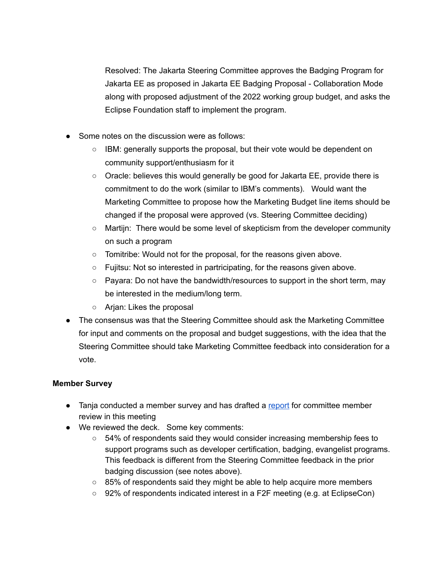Resolved: The Jakarta Steering Committee approves the Badging Program for Jakarta EE as proposed in Jakarta EE Badging Proposal - Collaboration Mode along with proposed adjustment of the 2022 working group budget, and asks the Eclipse Foundation staff to implement the program.

- Some notes on the discussion were as follows:
	- $\circ$  IBM: generally supports the proposal, but their vote would be dependent on community support/enthusiasm for it
	- Oracle: believes this would generally be good for Jakarta EE, provide there is commitment to do the work (similar to IBM's comments). Would want the Marketing Committee to propose how the Marketing Budget line items should be changed if the proposal were approved (vs. Steering Committee deciding)
	- Martijn: There would be some level of skepticism from the developer community on such a program
	- Tomitribe: Would not for the proposal, for the reasons given above.
	- $\circ$  Fujitsu: Not so interested in partricipating, for the reasons given above.
	- Payara: Do not have the bandwidth/resources to support in the short term, may be interested in the medium/long term.
	- Arjan: Likes the proposal
- The consensus was that the Steering Committee should ask the Marketing Committee for input and comments on the proposal and budget suggestions, with the idea that the Steering Committee should take Marketing Committee feedback into consideration for a vote.

# **Member Survey**

- Tanja conducted a member survey and has drafted a [report](https://docs.google.com/presentation/d/1XSZLPjkmWFfIVzzRAug9UosC6bZeyq1s1Vbja70RX0k/edit) for committee member review in this meeting
- We reviewed the deck. Some key comments:
	- 54% of respondents said they would consider increasing membership fees to support programs such as developer certification, badging, evangelist programs. This feedback is different from the Steering Committee feedback in the prior badging discussion (see notes above).
	- $\circ$  85% of respondents said they might be able to help acquire more members
	- 92% of respondents indicated interest in a F2F meeting (e.g. at EclipseCon)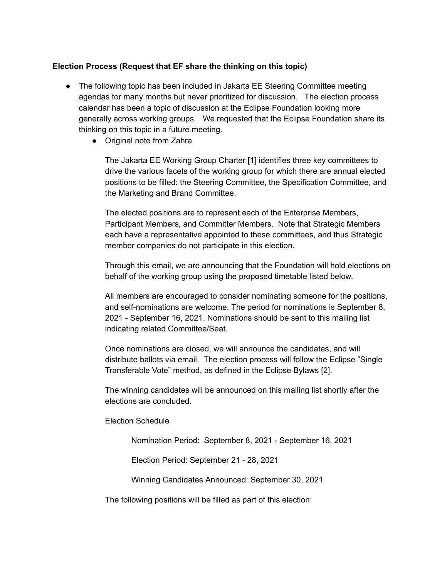#### **Election Process (Request that EF share the thinking on this topic)**

- The following topic has been included in Jakarta EE Steering Committee meeting agendas for many months but never prioritized for discussion. The election process calendar has been a topic of discussion at the Eclipse Foundation looking more generally across working groups. We requested that the Eclipse Foundation share its thinking on this topic in a future meeting.
	- Original note from Zahra

The Jakarta EE Working Group Charter [1] identifies three key committees to drive the various facets of the working group for which there are annual elected positions to be filled: the Steering Committee, the Specification Committee, and the Marketing and Brand Committee.

The elected positions are to represent each of the Enterprise Members, Participant Members, and Committer Members. Note that Strategic Members each have a representative appointed to these committees, and thus Strategic member companies do not participate in this election.

Through this email, we are announcing that the Foundation will hold elections on behalf of the working group using the proposed timetable listed below.

All members are encouraged to consider nominating someone for the positions, and self-nominations are welcome. The period for nominations is September 8, 2021 - September 16, 2021. Nominations should be sent to this mailing list indicating related Committee/Seat.

Once nominations are closed, we will announce the candidates, and will distribute ballots via email. The election process will follow the Eclipse "Single Transferable Vote" method, as defined in the Eclipse Bylaws [2].

The winning candidates will be announced on this mailing list shortly after the elections are concluded.

#### Election Schedule

Nomination Period: September 8, 2021 - September 16, 2021

Election Period: September 21 - 28, 2021

Winning Candidates Announced: September 30, 2021

The following positions will be filled as part of this election: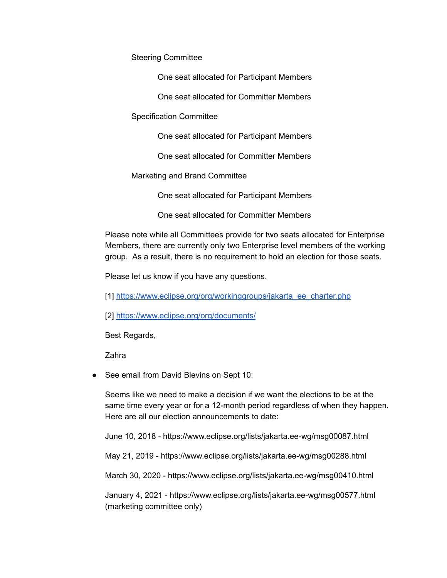Steering Committee

One seat allocated for Participant Members

One seat allocated for Committer Members

Specification Committee

One seat allocated for Participant Members

One seat allocated for Committer Members

Marketing and Brand Committee

One seat allocated for Participant Members

One seat allocated for Committer Members

Please note while all Committees provide for two seats allocated for Enterprise Members, there are currently only two Enterprise level members of the working group. As a result, there is no requirement to hold an election for those seats.

Please let us know if you have any questions.

[1] [https://www.eclipse.org/org/workinggroups/jakarta\\_ee\\_charter.php](https://www.eclipse.org/org/workinggroups/jakarta_ee_charter.php)

[2] <https://www.eclipse.org/org/documents/>

Best Regards,

Zahra

● See email from David Blevins on Sept 10:

Seems like we need to make a decision if we want the elections to be at the same time every year or for a 12-month period regardless of when they happen. Here are all our election announcements to date:

June 10, 2018 - https://www.eclipse.org/lists/jakarta.ee-wg/msg00087.html

May 21, 2019 - https://www.eclipse.org/lists/jakarta.ee-wg/msg00288.html

March 30, 2020 - https://www.eclipse.org/lists/jakarta.ee-wg/msg00410.html

January 4, 2021 - https://www.eclipse.org/lists/jakarta.ee-wg/msg00577.html (marketing committee only)